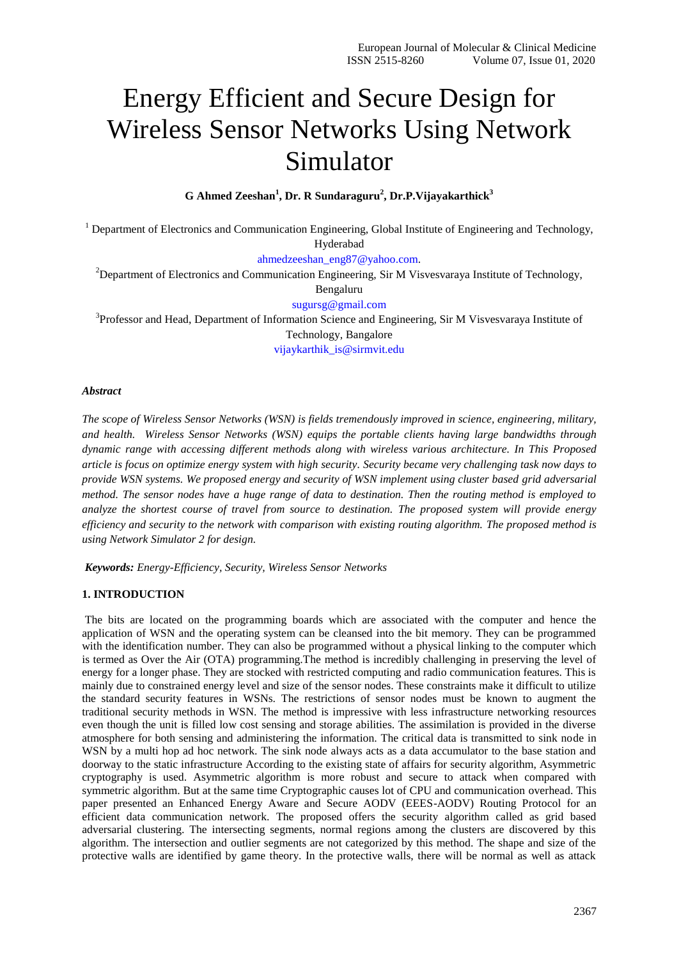# Energy Efficient and Secure Design for Wireless Sensor Networks Using Network Simulator

**G Ahmed Zeeshan<sup>1</sup> , Dr. R Sundaraguru<sup>2</sup> , Dr.P.Vijayakarthick<sup>3</sup>**

<sup>1</sup> Department of Electronics and Communication Engineering, Global Institute of Engineering and Technology, Hyderabad

[ahmedzeeshan\\_eng87@yahoo.com.](mailto:ahmedzeeshan_eng87@yahoo.com)

<sup>2</sup>Department of Electronics and Communication Engineering, Sir M Visvesvaraya Institute of Technology,

Bengaluru

[sugursg@gmail.com](mailto:sugursg@gmail.com)

<sup>3</sup>Professor and Head, Department of Information Science and Engineering, Sir M Visvesvaraya Institute of Technology, Bangalore [vijaykarthik\\_is@sirmvit.edu](mailto:vijaykarthik_is@sirmvit.edu)

# *Abstract*

*The scope of Wireless Sensor Networks (WSN) is fields tremendously improved in science, engineering, military, and health. Wireless Sensor Networks (WSN) equips the portable clients having large bandwidths through dynamic range with accessing different methods along with wireless various architecture. In This Proposed article is focus on optimize energy system with high security. Security became very challenging task now days to provide WSN systems. We proposed energy and security of WSN implement using cluster based grid adversarial method. The sensor nodes have a huge range of data to destination. Then the routing method is employed to analyze the shortest course of travel from source to destination. The proposed system will provide energy efficiency and security to the network with comparison with existing routing algorithm. The proposed method is using Network Simulator 2 for design.*

*Keywords: Energy-Efficiency, Security, Wireless Sensor Networks*

# **1. INTRODUCTION**

The bits are located on the programming boards which are associated with the computer and hence the application of WSN and the operating system can be cleansed into the bit memory. They can be programmed with the identification number. They can also be programmed without a physical linking to the computer which is termed as Over the Air (OTA) programming.The method is incredibly challenging in preserving the level of energy for a longer phase. They are stocked with restricted computing and radio communication features. This is mainly due to constrained energy level and size of the sensor nodes. These constraints make it difficult to utilize the standard security features in WSNs. The restrictions of sensor nodes must be known to augment the traditional security methods in WSN. The method is impressive with less infrastructure networking resources even though the unit is filled low cost sensing and storage abilities. The assimilation is provided in the diverse atmosphere for both sensing and administering the information. The critical data is transmitted to sink node in WSN by a multi hop ad hoc network. The sink node always acts as a data accumulator to the base station and doorway to the static infrastructure According to the existing state of affairs for security algorithm, Asymmetric cryptography is used. Asymmetric algorithm is more robust and secure to attack when compared with symmetric algorithm. But at the same time Cryptographic causes lot of CPU and communication overhead. This paper presented an Enhanced Energy Aware and Secure AODV (EEES-AODV) Routing Protocol for an efficient data communication network. The proposed offers the security algorithm called as grid based adversarial clustering. The intersecting segments, normal regions among the clusters are discovered by this algorithm. The intersection and outlier segments are not categorized by this method. The shape and size of the protective walls are identified by game theory. In the protective walls, there will be normal as well as attack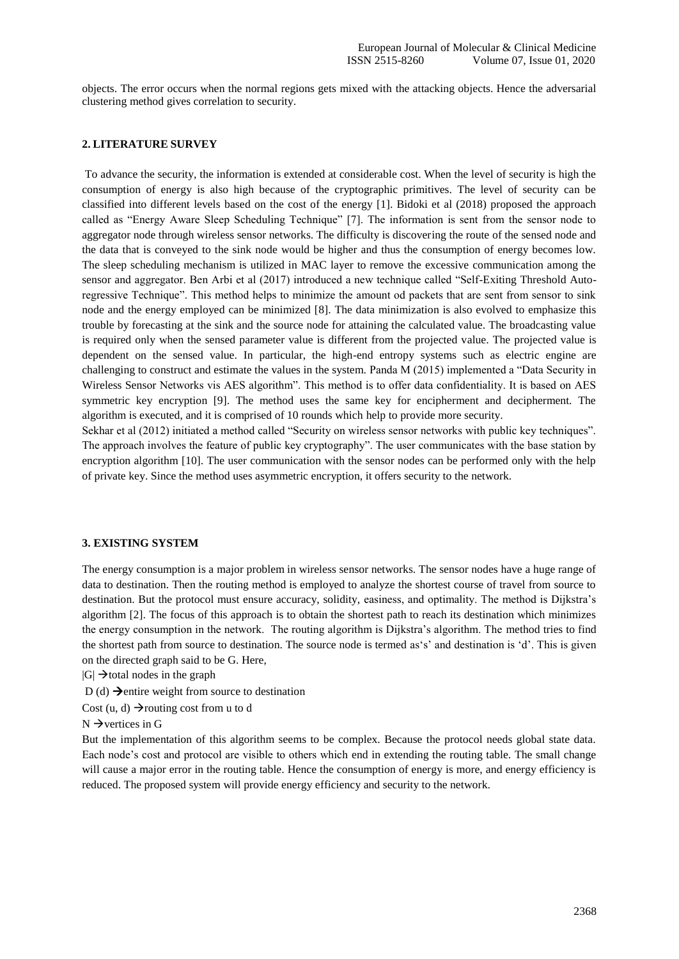objects. The error occurs when the normal regions gets mixed with the attacking objects. Hence the adversarial clustering method gives correlation to security.

## **2. LITERATURE SURVEY**

To advance the security, the information is extended at considerable cost. When the level of security is high the consumption of energy is also high because of the cryptographic primitives. The level of security can be classified into different levels based on the cost of the energy [1]. Bidoki et al (2018) proposed the approach called as "Energy Aware Sleep Scheduling Technique" [7]. The information is sent from the sensor node to aggregator node through wireless sensor networks. The difficulty is discovering the route of the sensed node and the data that is conveyed to the sink node would be higher and thus the consumption of energy becomes low. The sleep scheduling mechanism is utilized in MAC layer to remove the excessive communication among the sensor and aggregator. Ben Arbi et al (2017) introduced a new technique called "Self-Exiting Threshold Autoregressive Technique". This method helps to minimize the amount od packets that are sent from sensor to sink node and the energy employed can be minimized [8]. The data minimization is also evolved to emphasize this trouble by forecasting at the sink and the source node for attaining the calculated value. The broadcasting value is required only when the sensed parameter value is different from the projected value. The projected value is dependent on the sensed value. In particular, the high-end entropy systems such as electric engine are challenging to construct and estimate the values in the system. Panda M (2015) implemented a "Data Security in Wireless Sensor Networks vis AES algorithm". This method is to offer data confidentiality. It is based on AES symmetric key encryption [9]. The method uses the same key for encipherment and decipherment. The algorithm is executed, and it is comprised of 10 rounds which help to provide more security.

Sekhar et al (2012) initiated a method called "Security on wireless sensor networks with public key techniques". The approach involves the feature of public key cryptography". The user communicates with the base station by encryption algorithm [10]. The user communication with the sensor nodes can be performed only with the help of private key. Since the method uses asymmetric encryption, it offers security to the network.

## **3. EXISTING SYSTEM**

The energy consumption is a major problem in wireless sensor networks. The sensor nodes have a huge range of data to destination. Then the routing method is employed to analyze the shortest course of travel from source to destination. But the protocol must ensure accuracy, solidity, easiness, and optimality. The method is Dijkstra's algorithm [2]. The focus of this approach is to obtain the shortest path to reach its destination which minimizes the energy consumption in the network. The routing algorithm is Dijkstra"s algorithm. The method tries to find the shortest path from source to destination. The source node is termed as"s" and destination is "d". This is given on the directed graph said to be G. Here,

 $|G| \rightarrow$ total nodes in the graph

D (d)  $\rightarrow$  entire weight from source to destination

Cost (u, d)  $\rightarrow$  routing cost from u to d

 $N \rightarrow$  vertices in G

But the implementation of this algorithm seems to be complex. Because the protocol needs global state data. Each node's cost and protocol are visible to others which end in extending the routing table. The small change will cause a major error in the routing table. Hence the consumption of energy is more, and energy efficiency is reduced. The proposed system will provide energy efficiency and security to the network.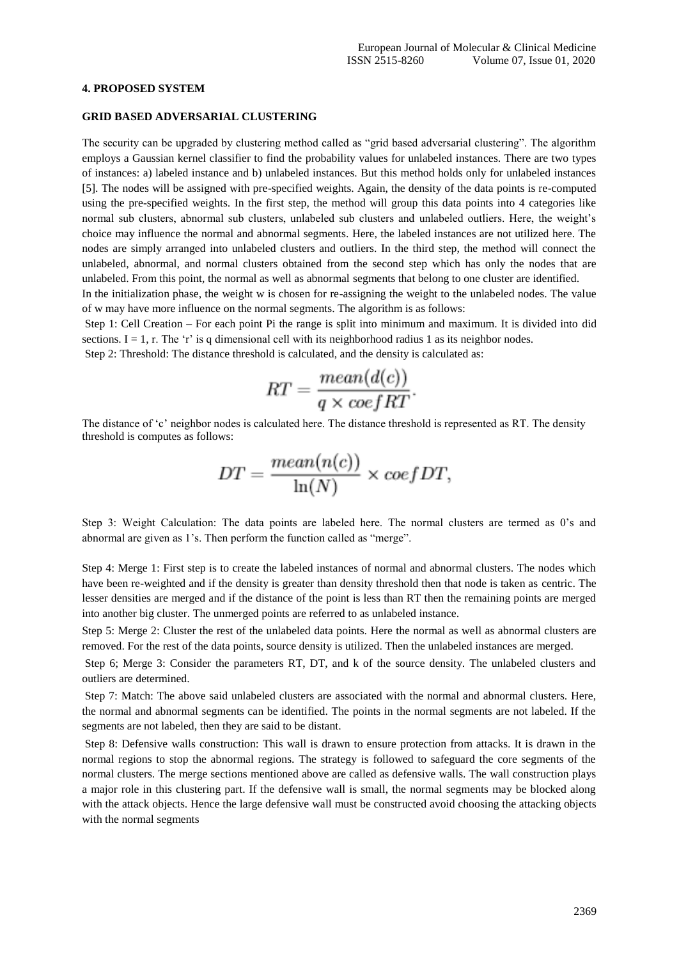#### **4. PROPOSED SYSTEM**

### **GRID BASED ADVERSARIAL CLUSTERING**

The security can be upgraded by clustering method called as "grid based adversarial clustering". The algorithm employs a Gaussian kernel classifier to find the probability values for unlabeled instances. There are two types of instances: a) labeled instance and b) unlabeled instances. But this method holds only for unlabeled instances [5]. The nodes will be assigned with pre-specified weights. Again, the density of the data points is re-computed using the pre-specified weights. In the first step, the method will group this data points into 4 categories like normal sub clusters, abnormal sub clusters, unlabeled sub clusters and unlabeled outliers. Here, the weight"s choice may influence the normal and abnormal segments. Here, the labeled instances are not utilized here. The nodes are simply arranged into unlabeled clusters and outliers. In the third step, the method will connect the unlabeled, abnormal, and normal clusters obtained from the second step which has only the nodes that are unlabeled. From this point, the normal as well as abnormal segments that belong to one cluster are identified.

In the initialization phase, the weight w is chosen for re-assigning the weight to the unlabeled nodes. The value of w may have more influence on the normal segments. The algorithm is as follows:

Step 1: Cell Creation – For each point Pi the range is split into minimum and maximum. It is divided into did sections.  $I = 1$ , r. The 'r' is q dimensional cell with its neighborhood radius 1 as its neighbor nodes. Step 2: Threshold: The distance threshold is calculated, and the density is calculated as:

$$
RT = \frac{mean(d(c))}{q \times coefRT}.
$$

The distance of 'c' neighbor nodes is calculated here. The distance threshold is represented as RT. The density threshold is computes as follows:

$$
DT = \frac{mean(n(c))}{\ln(N)} \times coefDT,
$$

Step 3: Weight Calculation: The data points are labeled here. The normal clusters are termed as 0"s and abnormal are given as 1"s. Then perform the function called as "merge".

Step 4: Merge 1: First step is to create the labeled instances of normal and abnormal clusters. The nodes which have been re-weighted and if the density is greater than density threshold then that node is taken as centric. The lesser densities are merged and if the distance of the point is less than RT then the remaining points are merged into another big cluster. The unmerged points are referred to as unlabeled instance.

Step 5: Merge 2: Cluster the rest of the unlabeled data points. Here the normal as well as abnormal clusters are removed. For the rest of the data points, source density is utilized. Then the unlabeled instances are merged.

Step 6; Merge 3: Consider the parameters RT, DT, and k of the source density. The unlabeled clusters and outliers are determined.

Step 7: Match: The above said unlabeled clusters are associated with the normal and abnormal clusters. Here, the normal and abnormal segments can be identified. The points in the normal segments are not labeled. If the segments are not labeled, then they are said to be distant.

Step 8: Defensive walls construction: This wall is drawn to ensure protection from attacks. It is drawn in the normal regions to stop the abnormal regions. The strategy is followed to safeguard the core segments of the normal clusters. The merge sections mentioned above are called as defensive walls. The wall construction plays a major role in this clustering part. If the defensive wall is small, the normal segments may be blocked along with the attack objects. Hence the large defensive wall must be constructed avoid choosing the attacking objects with the normal segments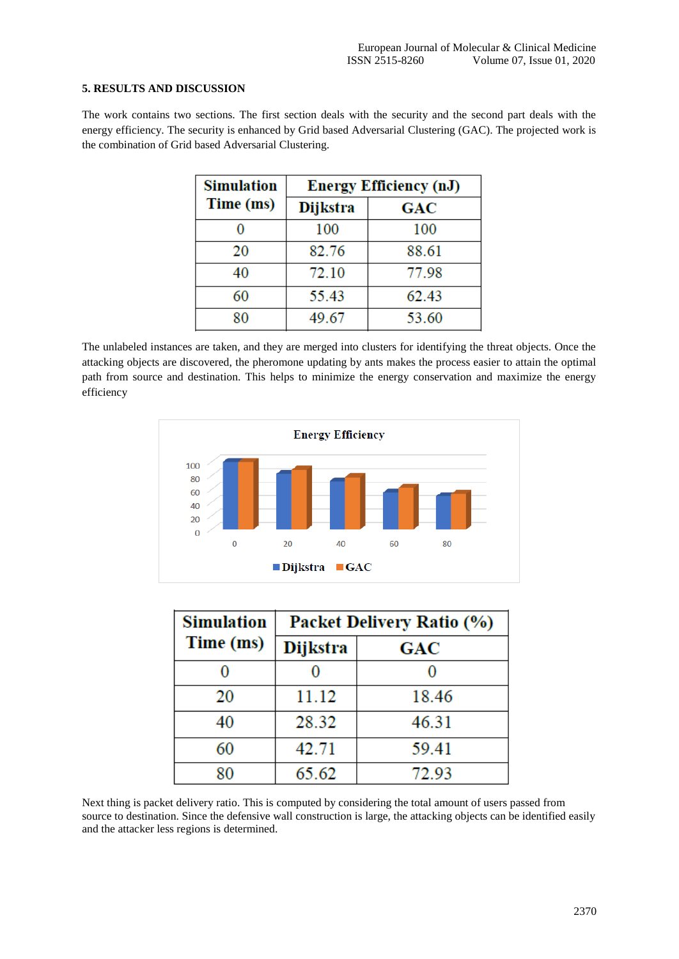# **5. RESULTS AND DISCUSSION**

The work contains two sections. The first section deals with the security and the second part deals with the energy efficiency. The security is enhanced by Grid based Adversarial Clustering (GAC). The projected work is the combination of Grid based Adversarial Clustering.

| <b>Simulation</b> | <b>Energy Efficiency (nJ)</b> |            |
|-------------------|-------------------------------|------------|
| Time (ms)         | <b>Dijkstra</b>               | <b>GAC</b> |
|                   | 100                           | 100        |
| 20                | 82.76                         | 88.61      |
| 40                | 72.10                         | 77.98      |
| 60                | 55.43                         | 62.43      |
| 80                | 49.67                         | 53.60      |

The unlabeled instances are taken, and they are merged into clusters for identifying the threat objects. Once the attacking objects are discovered, the pheromone updating by ants makes the process easier to attain the optimal path from source and destination. This helps to minimize the energy conservation and maximize the energy efficiency



| <b>Simulation</b> | <b>Packet Delivery Ratio (%)</b> |            |
|-------------------|----------------------------------|------------|
| Time (ms)         | <b>Dijkstra</b>                  | <b>GAC</b> |
|                   |                                  |            |
| 20                | 11.12                            | 18.46      |
| 40                | 28.32                            | 46.31      |
| 60                | 42.71                            | 59.41      |
| 80                | 65.62                            | 72.93      |

Next thing is packet delivery ratio. This is computed by considering the total amount of users passed from source to destination. Since the defensive wall construction is large, the attacking objects can be identified easily and the attacker less regions is determined.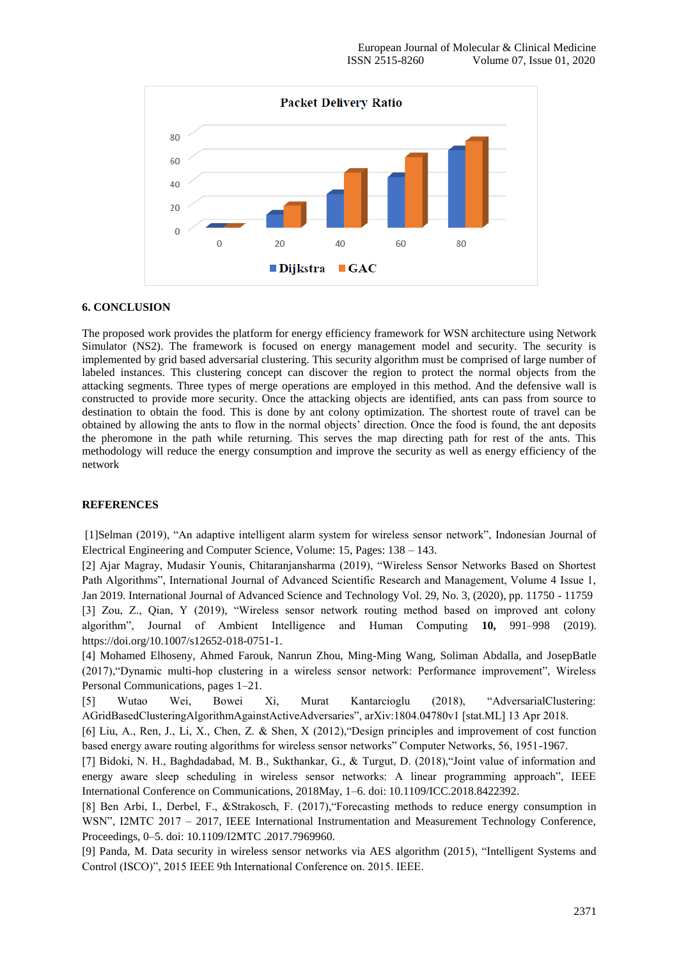

# **6. CONCLUSION**

The proposed work provides the platform for energy efficiency framework for WSN architecture using Network Simulator (NS2). The framework is focused on energy management model and security. The security is implemented by grid based adversarial clustering. This security algorithm must be comprised of large number of labeled instances. This clustering concept can discover the region to protect the normal objects from the attacking segments. Three types of merge operations are employed in this method. And the defensive wall is constructed to provide more security. Once the attacking objects are identified, ants can pass from source to destination to obtain the food. This is done by ant colony optimization. The shortest route of travel can be obtained by allowing the ants to flow in the normal objects" direction. Once the food is found, the ant deposits the pheromone in the path while returning. This serves the map directing path for rest of the ants. This methodology will reduce the energy consumption and improve the security as well as energy efficiency of the network

#### **REFERENCES**

[1]Selman (2019), "An adaptive intelligent alarm system for wireless sensor network", Indonesian Journal of Electrical Engineering and Computer Science, Volume: 15, Pages: 138 – 143.

[2] Ajar Magray, Mudasir Younis, Chitaranjansharma (2019), "Wireless Sensor Networks Based on Shortest Path Algorithms", International Journal of Advanced Scientific Research and Management, Volume 4 Issue 1, Jan 2019. International Journal of Advanced Science and Technology Vol. 29, No. 3, (2020), pp. 11750 - 11759 [3] Zou, Z., Qian, Y (2019), "Wireless sensor network routing method based on improved ant colony algorithm", Journal of Ambient Intelligence and Human Computing **10,** 991–998 (2019). https://doi.org/10.1007/s12652-018-0751-1.

[4] Mohamed Elhoseny, Ahmed Farouk, Nanrun Zhou, Ming-Ming Wang, Soliman Abdalla, and JosepBatle (2017),"Dynamic multi-hop clustering in a wireless sensor network: Performance improvement", Wireless Personal Communications, pages 1–21.

[5] Wutao Wei, Bowei Xi, Murat Kantarcioglu (2018), "AdversarialClustering: AGridBasedClusteringAlgorithmAgainstActiveAdversaries", arXiv:1804.04780v1 [stat.ML] 13 Apr 2018.

[6] Liu, A., Ren, J., Li, X., Chen, Z. & Shen, X (2012),"Design principles and improvement of cost function based energy aware routing algorithms for wireless sensor networks" Computer Networks, 56, 1951-1967.

[7] Bidoki, N. H., Baghdadabad, M. B., Sukthankar, G., & Turgut, D. (2018),"Joint value of information and energy aware sleep scheduling in wireless sensor networks: A linear programming approach", IEEE International Conference on Communications, 2018May, 1–6. doi: 10.1109/ICC.2018.8422392.

[8] Ben Arbi, I., Derbel, F., &Strakosch, F. (2017),"Forecasting methods to reduce energy consumption in WSN", I2MTC 2017 – 2017, IEEE International Instrumentation and Measurement Technology Conference, Proceedings, 0–5. doi: 10.1109/I2MTC .2017.7969960.

[9] Panda, M. Data security in wireless sensor networks via AES algorithm (2015), "Intelligent Systems and Control (ISCO)", 2015 IEEE 9th International Conference on. 2015. IEEE.